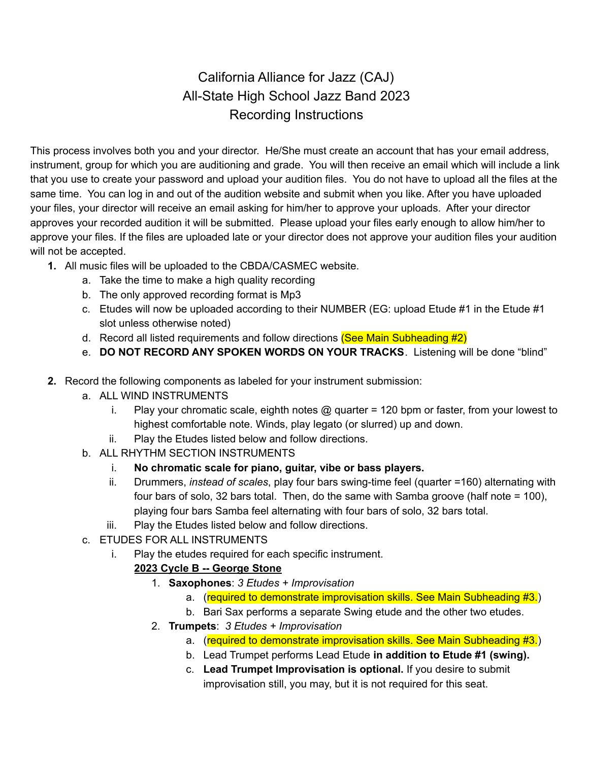# California Alliance for Jazz (CAJ) All-State High School Jazz Band 2023 Recording Instructions

This process involves both you and your director. He/She must create an account that has your email address, instrument, group for which you are auditioning and grade. You will then receive an email which will include a link that you use to create your password and upload your audition files. You do not have to upload all the files at the same time. You can log in and out of the audition website and submit when you like. After you have uploaded your files, your director will receive an email asking for him/her to approve your uploads. After your director approves your recorded audition it will be submitted. Please upload your files early enough to allow him/her to approve your files. If the files are uploaded late or your director does not approve your audition files your audition will not be accepted.

- **1.** All music files will be uploaded to the CBDA/CASMEC website.
	- a. Take the time to make a high quality recording
	- b. The only approved recording format is Mp3
	- c. Etudes will now be uploaded according to their NUMBER (EG: upload Etude #1 in the Etude #1 slot unless otherwise noted)
	- d. Record all listed requirements and follow directions (See Main Subheading #2)
	- e. **DO NOT RECORD ANY SPOKEN WORDS ON YOUR TRACKS**. Listening will be done "blind"
- **2.** Record the following components as labeled for your instrument submission:
	- a. ALL WIND INSTRUMENTS
		- i. Play your chromatic scale, eighth notes @ quarter = 120 bpm or faster, from your lowest to highest comfortable note. Winds, play legato (or slurred) up and down.
		- ii. Play the Etudes listed below and follow directions.
	- b. ALL RHYTHM SECTION INSTRUMENTS
		- i. **No chromatic scale for piano, guitar, vibe or bass players.**
		- ii. Drummers, *instead of scales*, play four bars swing-time feel (quarter =160) alternating with four bars of solo, 32 bars total. Then, do the same with Samba groove (half note = 100), playing four bars Samba feel alternating with four bars of solo, 32 bars total.
		- iii. Play the Etudes listed below and follow directions.
	- c. ETUDES FOR ALL INSTRUMENTS
		- i. Play the etudes required for each specific instrument.

### **2023 Cycle B -- George Stone**

- 1. **Saxophones**: *3 Etudes + Improvisation*
	- a. (required to demonstrate improvisation skills. See Main Subheading #3.)
	- b. Bari Sax performs a separate Swing etude and the other two etudes.
- 2. **Trumpets**: *3 Etudes + Improvisation*
	- a. (required to demonstrate improvisation skills. See Main Subheading #3.)
	- b. Lead Trumpet performs Lead Etude **in addition to Etude #1 (swing).**
	- c. **Lead Trumpet Improvisation is optional.** If you desire to submit improvisation still, you may, but it is not required for this seat.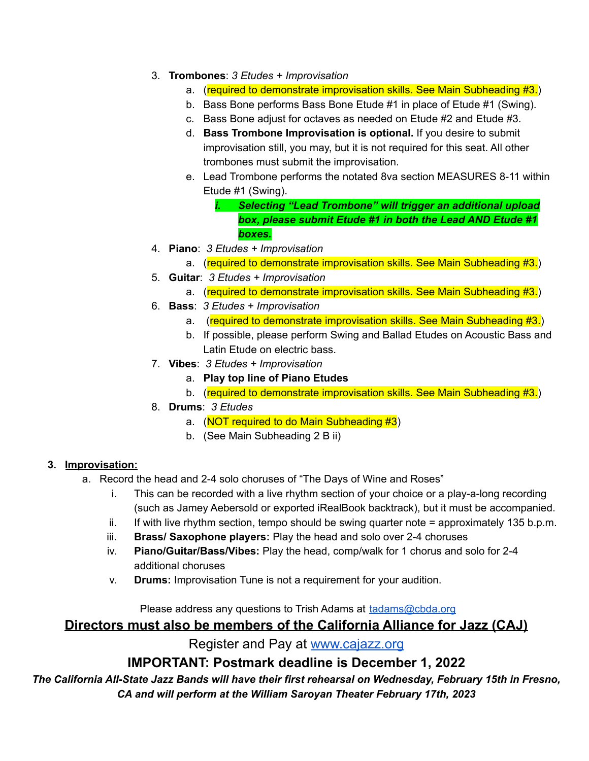- 3. **Trombones**: *3 Etudes + Improvisation*
	- a. (required to demonstrate improvisation skills. See Main Subheading #3.)
	- b. Bass Bone performs Bass Bone Etude #1 in place of Etude #1 (Swing).
	- c. Bass Bone adjust for octaves as needed on Etude #2 and Etude #3.
	- d. **Bass Trombone Improvisation is optional.** If you desire to submit improvisation still, you may, but it is not required for this seat. All other trombones must submit the improvisation.
	- e. Lead Trombone performs the notated 8va section MEASURES 8-11 within Etude #1 (Swing).

*i. Selecting "Lead Trombone" will trigger an additional upload box, please submit Etude #1 in both the Lead AND Etude #1 boxes.*

- 4. **Piano**: *3 Etudes + Improvisation*
	- a. (required to demonstrate improvisation skills. See Main Subheading #3.)
- 5. **Guitar**: *3 Etudes + Improvisation*
	- a. (required to demonstrate improvisation skills. See Main Subheading #3.)
- 6. **Bass**: *3 Etudes + Improvisation*
	- a. (required to demonstrate improvisation skills. See Main Subheading #3.)
	- b. If possible, please perform Swing and Ballad Etudes on Acoustic Bass and Latin Etude on electric bass.
- 7. **Vibes**: *3 Etudes + Improvisation*
	- a. **Play top line of Piano Etudes**
	- b. (required to demonstrate improvisation skills. See Main Subheading #3.)
- 8. **Drums**: *3 Etudes*
	- a. (NOT required to do Main Subheading #3)
	- b. (See Main Subheading 2 B ii)

#### **3. Improvisation:**

- a. Record the head and 2-4 solo choruses of "The Days of Wine and Roses"
	- i. This can be recorded with a live rhythm section of your choice or a play-a-long recording (such as Jamey Aebersold or exported iRealBook backtrack), but it must be accompanied.
	- ii. If with live rhythm section, tempo should be swing quarter note = approximately 135 b.p.m.
	- iii. **Brass/ Saxophone players:** Play the head and solo over 2-4 choruses
	- iv. **Piano/Guitar/Bass/Vibes:** Play the head, comp/walk for 1 chorus and solo for 2-4 additional choruses
	- v. **Drums:** Improvisation Tune is not a requirement for your audition.

#### Please address any questions to Trish Adams at [tadams@cbda.org](mailto:tadams@cbda.org)

## **Directors must also be members of the California Alliance for Jazz (CAJ)**

Register and Pay at [www.cajazz.org](http://www.cajazz.org)

## **IMPORTANT: Postmark deadline is December 1, 2022**

*The California All-State Jazz Bands will have their first rehearsal on Wednesday, February 15th in Fresno, CA and will perform at the William Saroyan Theater February 17th, 2023*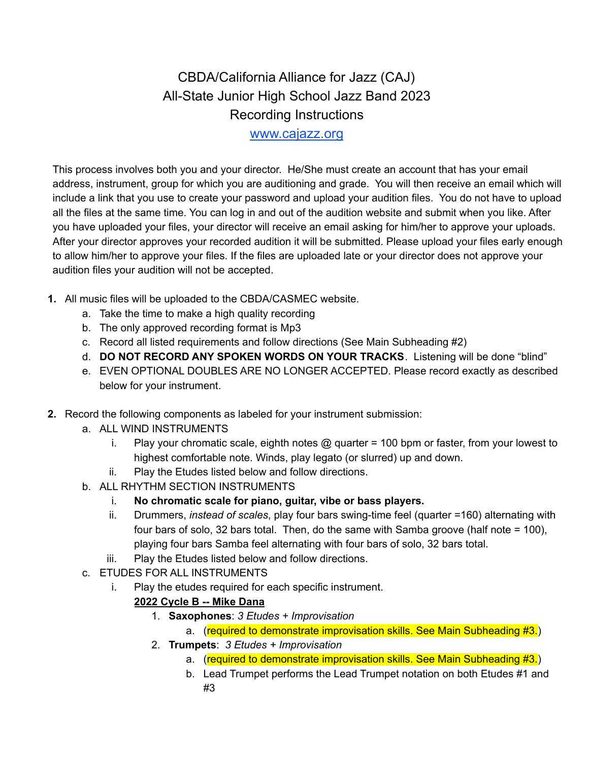# CBDA/California Alliance for Jazz (CAJ) All-State Junior High School Jazz Band 2023 Recording Instructions [www.cajazz.org](http://www.cajazz.org/)

This process involves both you and your director. He/She must create an account that has your email address, instrument, group for which you are auditioning and grade. You will then receive an email which will include a link that you use to create your password and upload your audition files. You do not have to upload all the files at the same time. You can log in and out of the audition website and submit when you like. After you have uploaded your files, your director will receive an email asking for him/her to approve your uploads. After your director approves your recorded audition it will be submitted. Please upload your files early enough to allow him/her to approve your files. If the files are uploaded late or your director does not approve your audition files your audition will not be accepted.

- **1.** All music files will be uploaded to the CBDA/CASMEC website.
	- a. Take the time to make a high quality recording
	- b. The only approved recording format is Mp3
	- c. Record all listed requirements and follow directions (See Main Subheading #2)
	- d. **DO NOT RECORD ANY SPOKEN WORDS ON YOUR TRACKS**. Listening will be done "blind"
	- e. EVEN OPTIONAL DOUBLES ARE NO LONGER ACCEPTED. Please record exactly as described below for your instrument.
- **2.** Record the following components as labeled for your instrument submission:
	- a. ALL WIND INSTRUMENTS
		- i. Play your chromatic scale, eighth notes @ quarter = 100 bpm or faster, from your lowest to highest comfortable note. Winds, play legato (or slurred) up and down.
		- ii. Play the Etudes listed below and follow directions.
	- b. ALL RHYTHM SECTION INSTRUMENTS
		- i. **No chromatic scale for piano, guitar, vibe or bass players.**
		- ii. Drummers, *instead of scales*, play four bars swing-time feel (quarter =160) alternating with four bars of solo, 32 bars total. Then, do the same with Samba groove (half note = 100), playing four bars Samba feel alternating with four bars of solo, 32 bars total.
		- iii. Play the Etudes listed below and follow directions.
	- c. ETUDES FOR ALL INSTRUMENTS
		- i. Play the etudes required for each specific instrument.
			- **2022 Cycle B -- Mike Dana**
				- 1. **Saxophones**: *3 Etudes + Improvisation*
					- a. (required to demonstrate improvisation skills. See Main Subheading #3.)
				- 2. **Trumpets**: *3 Etudes + Improvisation*
					- a. (required to demonstrate improvisation skills. See Main Subheading #3.)
					- b. Lead Trumpet performs the Lead Trumpet notation on both Etudes #1 and #3